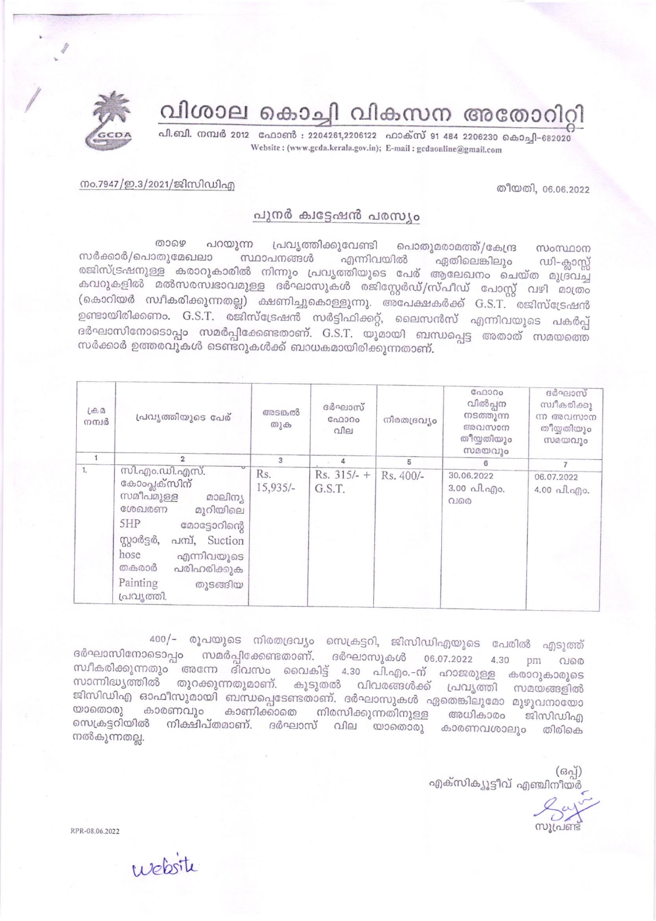വിശാല കൊച്ചി വികസന അതോറിറ്റി





## പുനർ ക്വട്ടേഷൻ പരസ്യം

താഴെ പറയുന്ന പ്രവൃത്തിക്കുവേണ്ടി പൊതുമരാമത്ത്/കേന്ദ്ര സംസ്ഥാന സർക്കാർ/പൊതുമേഖലാ സ്ഥാപനങ്ങൾ എന്നിവയിൽ ഏതിലെങ്കിലും ഡി–ക്ലാസ്റ്റ് രജിസ്ട്രഷനുള്ള കരാറുകാരിൽ നിന്നും പ്രവൃത്തിയുടെ പേര് ആലേഖനം ചെയ്ത മുദ്രവച്ച കവറുകളിൽ മൽസരസ്വഭാവമുള്ള ദർഘാസുകൾ രജിസ്റ്റേർഡ്/സ്പീഡ് പോസ്റ്റ് വഴി മാത്രം (കൊറിയർ സ്ഥീകരിക്കുന്നതല്ല) ക്ഷണിച്ചുകൊള്ളുന്നു. അപേക്ഷകർക്ക് G.S.T. രജിസ്ട്രേഷൻ ഉണ്ടായിരിക്കണം. G.S.T. രജിസ്ട്രേഷൻ സർട്ടിഫിക്കറ്റ്, ലൈസൻസ് എന്നിവയുടെ പകർപ്പ് ദർഘാസിനോടൊപ്പം സമർപ്പിക്കേണ്ടതാണ്. G.S.T. യുമായി ബന്ധപ്പെട്ട അതാത് സമയത്തെ സർക്കാർ ഉത്തരവുകൾ ടെണ്ടറുകൾക്ക് ബാധകമായിരിക്കുന്നതാണ്.

| (d, d)<br>നമ്പർ | പ്രവൃത്തിയുടെ പേര്                                                                                                                                                                                                     | അടങ്കൽ<br>തുക     | ദർഘാസ്<br>GAD300<br>വില | നിരതദ്രവ്യം | G00000<br>വിൽപ്പന<br>നടത്തുന്ന<br>അവസാന<br>തീയ്യതിയും<br>സമയവും | ദർഘാസ്<br>സ്വീകരിക്കു<br>ന്ന അവസാന<br>തീയ്യതിയും<br>സമയവും |
|-----------------|------------------------------------------------------------------------------------------------------------------------------------------------------------------------------------------------------------------------|-------------------|-------------------------|-------------|-----------------------------------------------------------------|------------------------------------------------------------|
|                 | $\overline{2}$                                                                                                                                                                                                         | 3                 |                         | 5           | 6                                                               | $\overline{7}$                                             |
| 1.              | സി.എം.ഡി.എസ്.<br>കോംപ്ലക്സിന്<br>സമീപമുള്ള<br>മാലിന്യ<br>ശേഖരണ<br>മുറിയിലെ<br>5HP<br>മോട്ടോറിന്റെ<br>സ്റ്റാർട്ടർ,<br>പസ്, Suction<br>hose<br>എന്നിവയുടെ<br>തകരാർ<br>പരിഹരിക്കുക<br>Painting<br>തുടങ്ങിയ<br>പ്രവ്യത്തി. | Rs.<br>$15,935/-$ | $Rs. 315/- +$<br>G.S.T. | Rs. 400/-   | 30.06.2022<br>3.00 പി.എം.<br>വരെ                                | 06.07.2022<br>4.00 வி. வி. .                               |

400/- രൂപയുടെ നിരതദ്രവ്യം സെക്രട്ടറി, ജിസിഡിഎയുടെ പേരിൽ എടുത്ത് ദർഘാസിനോടൊപ്പം സമർപ്പിക്കേണ്ടതാണ്. ദർഘാസുകൾ 06.07.2022 4.30 pm വരെ സ്ഥീകരിക്കുന്നതും അന്നേ ദിവസം വൈകിട്ട് 4.30 പി.എം.-ന് ഹാജരുള്ള കരാറുകാരുടെ സാന്നിദ്ധ്യത്തിൽ തുറക്കുന്നതുമാണ്. കൂടുതൽ വിവരങ്ങൾക്ക് പ്രവൃത്തി സമയങ്ങളിൽ ജിസിഡിഎ ഓഫീസുമായി ബന്ധപ്പെടേണ്ടതാണ്. ദർഘാസുകൾ ഏതെങ്കിലുമോ മുഴുവനായോ യാതൊരു കാരണവും കാണിക്കാതെ നിരസിക്കുന്നതിനുള്ള അധികാരം ജീസിഡിഎ സെക്രട്ടറിയിൽ നിക്ഷിപ്തമാണ്. ദർഘാസ് വില യാതൊരു കാരണവശാലും തിരികെ നൽകുന്നതല്ല.

> $(630)$ എക്സിക്യൂട്ടീവ് എഞ്ചിനീയർ

തീയതി, 06.06.2022

RPR-08.06.2022

website